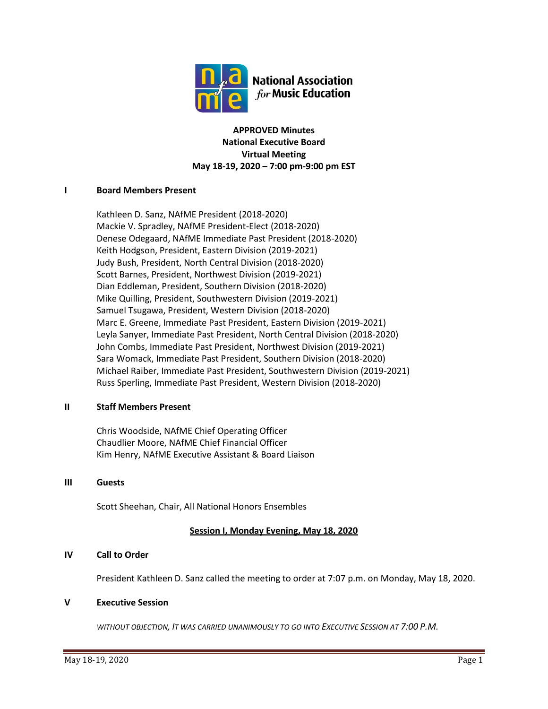

**APPROVED Minutes National Executive Board Virtual Meeting May 18-19, 2020 – 7:00 pm-9:00 pm EST**

# **I Board Members Present**

Kathleen D. Sanz, NAfME President (2018-2020) Mackie V. Spradley, NAfME President-Elect (2018-2020) Denese Odegaard, NAfME Immediate Past President (2018-2020) Keith Hodgson, President, Eastern Division (2019-2021) Judy Bush, President, North Central Division (2018-2020) Scott Barnes, President, Northwest Division (2019-2021) Dian Eddleman, President, Southern Division (2018-2020) Mike Quilling, President, Southwestern Division (2019-2021) Samuel Tsugawa, President, Western Division (2018-2020) Marc E. Greene, Immediate Past President, Eastern Division (2019-2021) Leyla Sanyer, Immediate Past President, North Central Division (2018-2020) John Combs, Immediate Past President, Northwest Division (2019-2021) Sara Womack, Immediate Past President, Southern Division (2018-2020) Michael Raiber, Immediate Past President, Southwestern Division (2019-2021) Russ Sperling, Immediate Past President, Western Division (2018-2020)

### **II Staff Members Present**

Chris Woodside, NAfME Chief Operating Officer Chaudlier Moore, NAfME Chief Financial Officer Kim Henry, NAfME Executive Assistant & Board Liaison

### **III Guests**

Scott Sheehan, Chair, All National Honors Ensembles

# **Session I, Monday Evening, May 18, 2020**

# **IV Call to Order**

President Kathleen D. Sanz called the meeting to order at 7:07 p.m. on Monday, May 18, 2020.

### **V Executive Session**

*WITHOUT OBJECTION, IT WAS CARRIED UNANIMOUSLY TO GO INTO EXECUTIVE SESSION AT 7:00 P.M.*